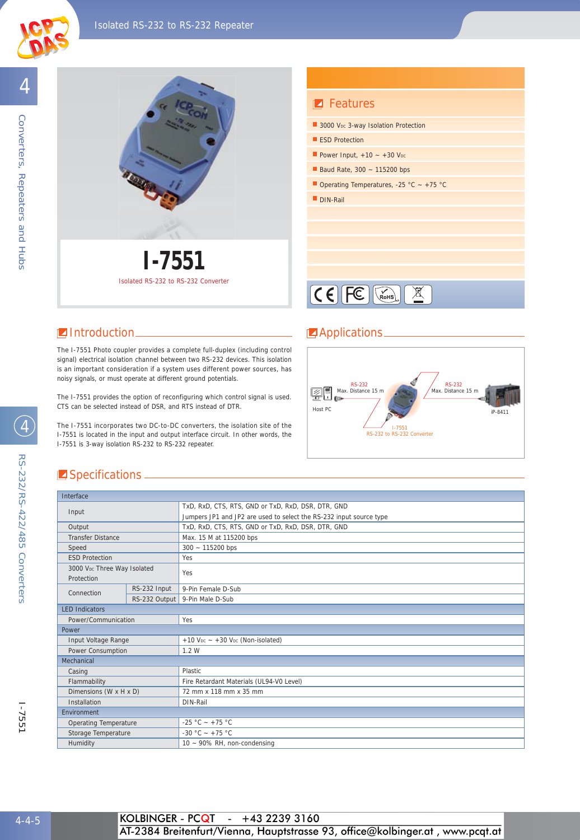

4



# **Z** Features 3000 Voc 3-way Isolation Protection **ESD Protection** Baud Rate,  $300 - 115200$  bps Power Input,  $+10 - +30$  V<sub>DC</sub> Operating Temperatures, -25 °C ~ +75 °C DIN-Rail





#### **I** Introduction **Applications**

The I-7551 Photo coupler provides a complete full-duplex (including control signal) electrical isolation channel between two RS-232 devices. This isolation is an important consideration if a system uses different power sources, has noisy signals, or must operate at different ground potentials.

The I-7551 provides the option of reconfiguring which control signal is used. CTS can be selected instead of DSR, and RTS instead of DTR.

The I-7551 incorporates two DC-to-DC converters, the isolation site of the I-7551 is located in the input and output interface circuit. In other words, the I-7551 is 3-way isolation RS-232 to RS-232 repeater.



### Specifications \_

| Interface                    |              |                                                                     |  |  |
|------------------------------|--------------|---------------------------------------------------------------------|--|--|
| Input                        |              | TxD, RxD, CTS, RTS, GND or TxD, RxD, DSR, DTR, GND                  |  |  |
|                              |              | Jumpers JP1 and JP2 are used to select the RS-232 input source type |  |  |
| Output                       |              | TxD, RxD, CTS, RTS, GND or TxD, RxD, DSR, DTR, GND                  |  |  |
| <b>Transfer Distance</b>     |              | Max. 15 M at 115200 bps                                             |  |  |
| Speed                        |              | $300 - 115200$ bps                                                  |  |  |
| <b>ESD Protection</b>        |              | Yes                                                                 |  |  |
| 3000 VDc Three Way Isolated  |              | Yes                                                                 |  |  |
| Protection                   |              |                                                                     |  |  |
| Connection                   | RS-232 Input | 9-Pin Female D-Sub                                                  |  |  |
|                              |              | RS-232 Output 9-Pin Male D-Sub                                      |  |  |
| <b>LED Indicators</b>        |              |                                                                     |  |  |
| Power/Communication          |              | Yes                                                                 |  |  |
| Power                        |              |                                                                     |  |  |
| Input Voltage Range          |              | $+10$ V <sub>pc</sub> $- +30$ V <sub>pc</sub> (Non-isolated)        |  |  |
| Power Consumption            |              | 1.2W                                                                |  |  |
| Mechanical                   |              |                                                                     |  |  |
| Casing                       |              | Plastic                                                             |  |  |
| Flammability                 |              | Fire Retardant Materials (UL94-V0 Level)                            |  |  |
| Dimensions (W x H x D)       |              | 72 mm x 118 mm x 35 mm                                              |  |  |
| Installation                 |              | DIN-Rail                                                            |  |  |
| <b>Fnvironment</b>           |              |                                                                     |  |  |
| <b>Operating Temperature</b> |              | -25 °C - +75 °C                                                     |  |  |
| Storage Temperature          |              | $-30 °C - +75 °C$                                                   |  |  |
| Humidity                     |              | 10 - 90% RH, non-condensing                                         |  |  |

RS-232/RS-422/485 Converters

RS-232/RS-422/485 Converters

4